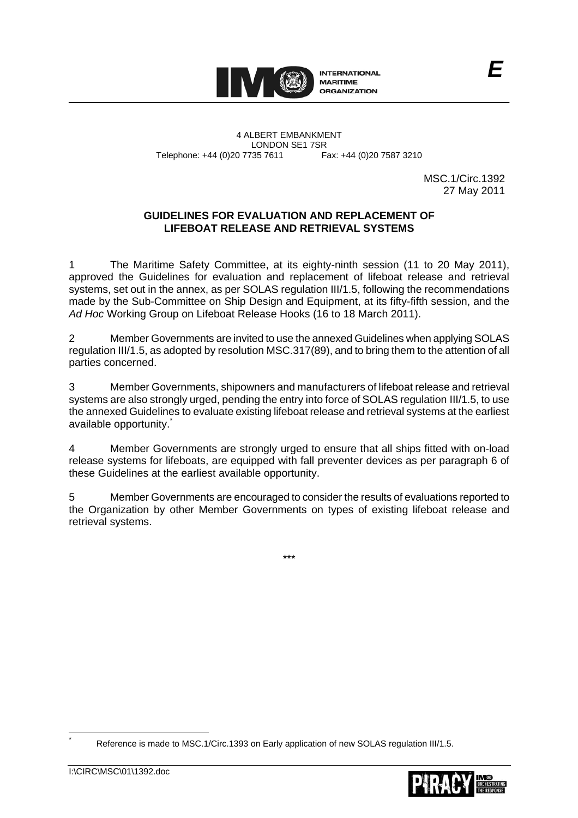

4 ALBERT EMBANKMENT Telephone: +44 (0)20 7735 7611

LONDON SE1 7SR<br>735 7611 Fax: +44 (0)20 7587 3210

MSC.1/Circ.1392 27 May 2011

*E*

# **GUIDELINES FOR EVALUATION AND REPLACEMENT OF LIFEBOAT RELEASE AND RETRIEVAL SYSTEMS**

1 The Maritime Safety Committee, at its eighty-ninth session (11 to 20 May 2011), approved the Guidelines for evaluation and replacement of lifeboat release and retrieval systems, set out in the annex, as per SOLAS regulation III/1.5, following the recommendations made by the Sub-Committee on Ship Design and Equipment, at its fifty-fifth session, and the *Ad Hoc* Working Group on Lifeboat Release Hooks (16 to 18 March 2011).

2 Member Governments are invited to use the annexed Guidelines when applying SOLAS regulation III/1.5, as adopted by resolution MSC.317(89), and to bring them to the attention of all parties concerned.

3 Member Governments, shipowners and manufacturers of lifeboat release and retrieval systems are also strongly urged, pending the entry into force of SOLAS regulation III/1.5, to use the annexed Guidelines to evaluate existing lifeboat release and retrieval systems at the earliest available opportunity.

4 Member Governments are strongly urged to ensure that all ships fitted with on-load release systems for lifeboats, are equipped with fall preventer devices as per paragraph 6 of these Guidelines at the earliest available opportunity.

5 Member Governments are encouraged to consider the results of evaluations reported to the Organization by other Member Governments on types of existing lifeboat release and retrieval systems.

\*\*\*

Reference is made to MSC.1/Circ.1393 on Early application of new SOLAS regulation III/1.5.

 \*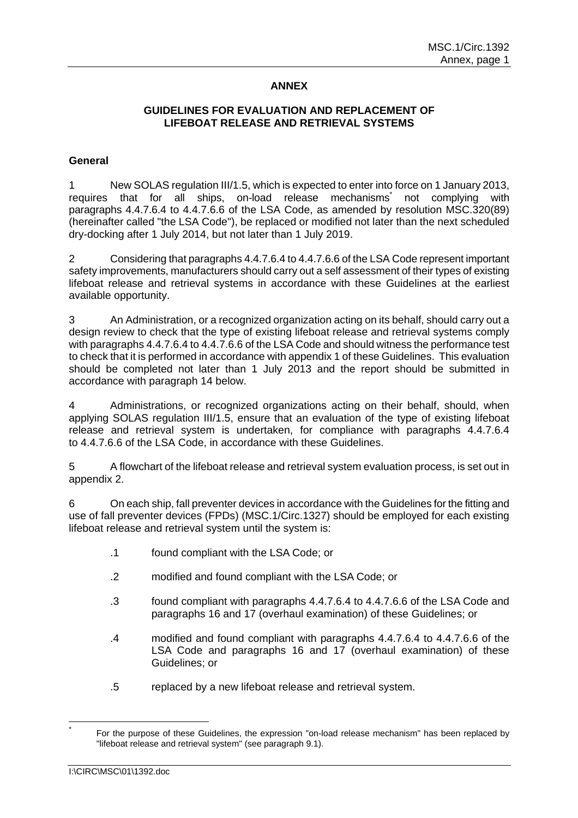# **ANNEX**

### **GUIDELINES FOR EVALUATION AND REPLACEMENT OF LIFEBOAT RELEASE AND RETRIEVAL SYSTEMS**

### **General**

1 New SOLAS regulation III/1.5, which is expected to enter into force on 1 January 2013, requires that for all ships, on-load release mechanisms<sup>\*</sup> not complying with paragraphs 4.4.7.6.4 to 4.4.7.6.6 of the LSA Code, as amended by resolution MSC.320(89) (hereinafter called "the LSA Code"), be replaced or modified not later than the next scheduled dry-docking after 1 July 2014, but not later than 1 July 2019.

2 Considering that paragraphs 4.4.7.6.4 to 4.4.7.6.6 of the LSA Code represent important safety improvements, manufacturers should carry out a self assessment of their types of existing lifeboat release and retrieval systems in accordance with these Guidelines at the earliest available opportunity.

3 An Administration, or a recognized organization acting on its behalf, should carry out a design review to check that the type of existing lifeboat release and retrieval systems comply with paragraphs 4.4.7.6.4 to 4.4.7.6.6 of the LSA Code and should witness the performance test to check that it is performed in accordance with appendix 1 of these Guidelines. This evaluation should be completed not later than 1 July 2013 and the report should be submitted in accordance with paragraph 14 below.

4 Administrations, or recognized organizations acting on their behalf, should, when applying SOLAS regulation III/1.5, ensure that an evaluation of the type of existing lifeboat release and retrieval system is undertaken, for compliance with paragraphs 4.4.7.6.4 to 4.4.7.6.6 of the LSA Code, in accordance with these Guidelines.

5 A flowchart of the lifeboat release and retrieval system evaluation process, is set out in appendix 2.

6 On each ship, fall preventer devices in accordance with the Guidelines for the fitting and use of fall preventer devices (FPDs) (MSC.1/Circ.1327) should be employed for each existing lifeboat release and retrieval system until the system is:

- .1 found compliant with the LSA Code; or
- .2 modified and found compliant with the LSA Code; or
- .3 found compliant with paragraphs 4.4.7.6.4 to 4.4.7.6.6 of the LSA Code and paragraphs 16 and 17 (overhaul examination) of these Guidelines; or
- .4 modified and found compliant with paragraphs 4.4.7.6.4 to 4.4.7.6.6 of the LSA Code and paragraphs 16 and 17 (overhaul examination) of these Guidelines; or
- .5 replaced by a new lifeboat release and retrieval system.

<sup>\*</sup> For the purpose of these Guidelines, the expression "on-load release mechanism" has been replaced by "lifeboat release and retrieval system" (see paragraph 9.1).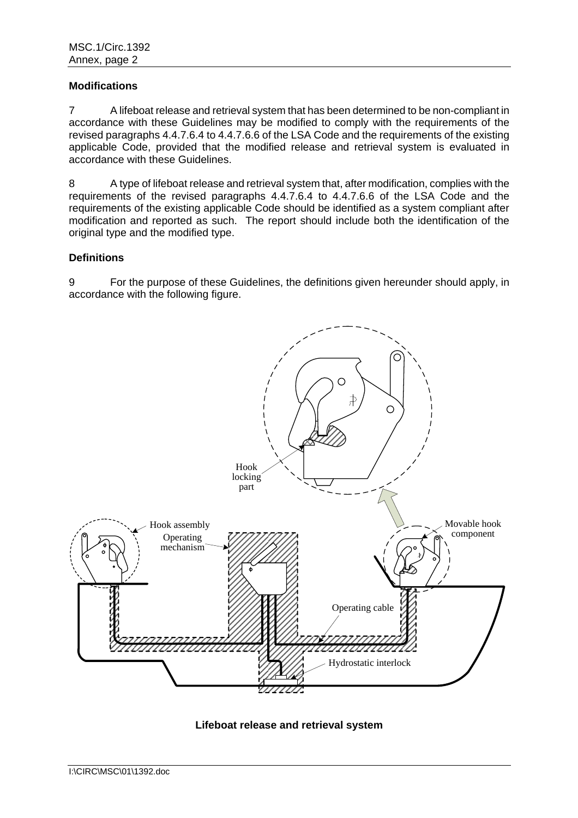### **Modifications**

7 A lifeboat release and retrieval system that has been determined to be non-compliant in accordance with these Guidelines may be modified to comply with the requirements of the revised paragraphs 4.4.7.6.4 to 4.4.7.6.6 of the LSA Code and the requirements of the existing applicable Code, provided that the modified release and retrieval system is evaluated in accordance with these Guidelines.

8 A type of lifeboat release and retrieval system that, after modification, complies with the requirements of the revised paragraphs 4.4.7.6.4 to 4.4.7.6.6 of the LSA Code and the requirements of the existing applicable Code should be identified as a system compliant after modification and reported as such. The report should include both the identification of the original type and the modified type.

## **Definitions**

9 For the purpose of these Guidelines, the definitions given hereunder should apply, in accordance with the following figure.



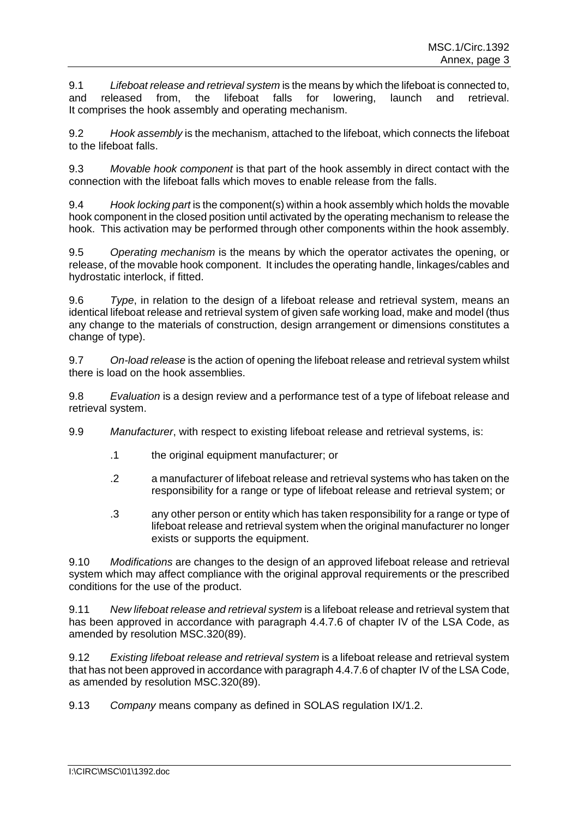9.1 *Lifeboat release and retrieval system* is the means by which the lifeboat is connected to, and released from, the lifeboat falls for lowering, launch and retrieval. It comprises the hook assembly and operating mechanism.

9.2 *Hook assembly* is the mechanism, attached to the lifeboat, which connects the lifeboat to the lifeboat falls.

9.3 *Movable hook component* is that part of the hook assembly in direct contact with the connection with the lifeboat falls which moves to enable release from the falls.

9.4 *Hook locking part* is the component(s) within a hook assembly which holds the movable hook component in the closed position until activated by the operating mechanism to release the hook. This activation may be performed through other components within the hook assembly.

9.5 *Operating mechanism* is the means by which the operator activates the opening, or release, of the movable hook component. It includes the operating handle, linkages/cables and hydrostatic interlock, if fitted.

9.6 *Type*, in relation to the design of a lifeboat release and retrieval system, means an identical lifeboat release and retrieval system of given safe working load, make and model (thus any change to the materials of construction, design arrangement or dimensions constitutes a change of type).

9.7 *On-load release* is the action of opening the lifeboat release and retrieval system whilst there is load on the hook assemblies.

9.8 *Evaluation* is a design review and a performance test of a type of lifeboat release and retrieval system.

- 9.9 *Manufacturer*, with respect to existing lifeboat release and retrieval systems, is:
	- .1 the original equipment manufacturer; or
	- .2 a manufacturer of lifeboat release and retrieval systems who has taken on the responsibility for a range or type of lifeboat release and retrieval system; or
	- .3 any other person or entity which has taken responsibility for a range or type of lifeboat release and retrieval system when the original manufacturer no longer exists or supports the equipment.

9.10 *Modifications* are changes to the design of an approved lifeboat release and retrieval system which may affect compliance with the original approval requirements or the prescribed conditions for the use of the product.

9.11 *New lifeboat release and retrieval system* is a lifeboat release and retrieval system that has been approved in accordance with paragraph 4.4.7.6 of chapter IV of the LSA Code, as amended by resolution MSC.320(89).

9.12 *Existing lifeboat release and retrieval system* is a lifeboat release and retrieval system that has not been approved in accordance with paragraph 4.4.7.6 of chapter IV of the LSA Code, as amended by resolution MSC.320(89).

9.13 *Company* means company as defined in SOLAS regulation IX/1.2.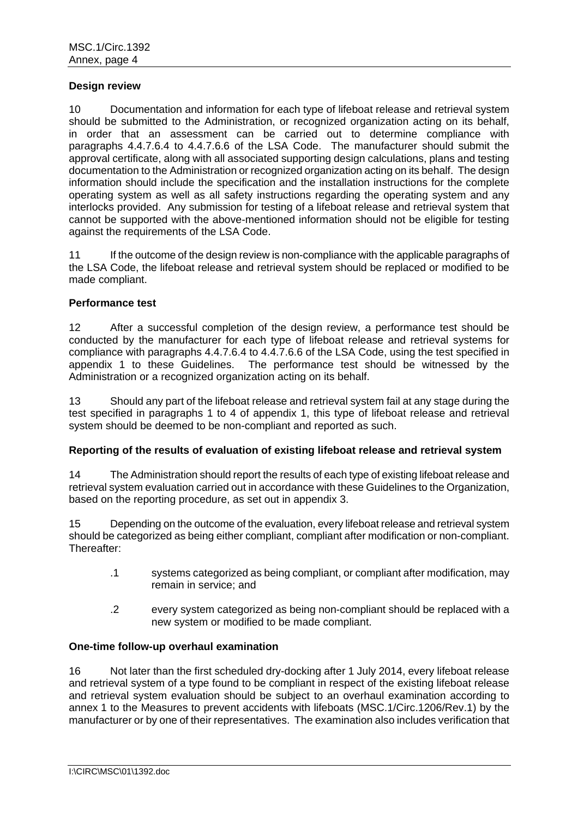#### **Design review**

10 Documentation and information for each type of lifeboat release and retrieval system should be submitted to the Administration, or recognized organization acting on its behalf, in order that an assessment can be carried out to determine compliance with paragraphs 4.4.7.6.4 to 4.4.7.6.6 of the LSA Code. The manufacturer should submit the approval certificate, along with all associated supporting design calculations, plans and testing documentation to the Administration or recognized organization acting on its behalf. The design information should include the specification and the installation instructions for the complete operating system as well as all safety instructions regarding the operating system and any interlocks provided. Any submission for testing of a lifeboat release and retrieval system that cannot be supported with the above-mentioned information should not be eligible for testing against the requirements of the LSA Code.

11 If the outcome of the design review is non-compliance with the applicable paragraphs of the LSA Code, the lifeboat release and retrieval system should be replaced or modified to be made compliant.

#### **Performance test**

12 After a successful completion of the design review, a performance test should be conducted by the manufacturer for each type of lifeboat release and retrieval systems for compliance with paragraphs 4.4.7.6.4 to 4.4.7.6.6 of the LSA Code, using the test specified in appendix 1 to these Guidelines. The performance test should be witnessed by the Administration or a recognized organization acting on its behalf.

13 Should any part of the lifeboat release and retrieval system fail at any stage during the test specified in paragraphs 1 to 4 of appendix 1, this type of lifeboat release and retrieval system should be deemed to be non-compliant and reported as such.

## **Reporting of the results of evaluation of existing lifeboat release and retrieval system**

14 The Administration should report the results of each type of existing lifeboat release and retrieval system evaluation carried out in accordance with these Guidelines to the Organization, based on the reporting procedure, as set out in appendix 3.

15 Depending on the outcome of the evaluation, every lifeboat release and retrieval system should be categorized as being either compliant, compliant after modification or non-compliant. Thereafter:

- .1 systems categorized as being compliant, or compliant after modification, may remain in service; and
- .2 every system categorized as being non-compliant should be replaced with a new system or modified to be made compliant.

#### **One-time follow-up overhaul examination**

16 Not later than the first scheduled dry-docking after 1 July 2014, every lifeboat release and retrieval system of a type found to be compliant in respect of the existing lifeboat release and retrieval system evaluation should be subject to an overhaul examination according to annex 1 to the Measures to prevent accidents with lifeboats (MSC.1/Circ.1206/Rev.1) by the manufacturer or by one of their representatives. The examination also includes verification that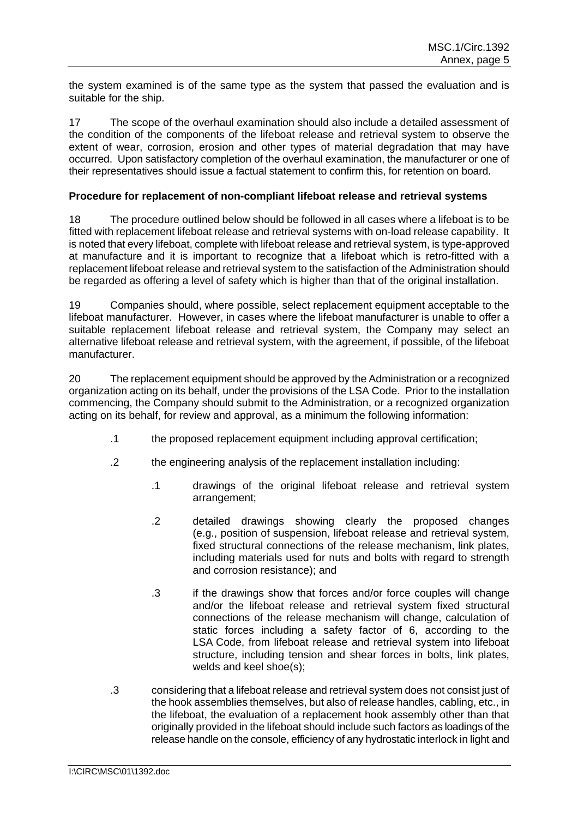the system examined is of the same type as the system that passed the evaluation and is suitable for the ship.

17 The scope of the overhaul examination should also include a detailed assessment of the condition of the components of the lifeboat release and retrieval system to observe the extent of wear, corrosion, erosion and other types of material degradation that may have occurred. Upon satisfactory completion of the overhaul examination, the manufacturer or one of their representatives should issue a factual statement to confirm this, for retention on board.

## **Procedure for replacement of non-compliant lifeboat release and retrieval systems**

18 The procedure outlined below should be followed in all cases where a lifeboat is to be fitted with replacement lifeboat release and retrieval systems with on-load release capability. It is noted that every lifeboat, complete with lifeboat release and retrieval system, is type-approved at manufacture and it is important to recognize that a lifeboat which is retro-fitted with a replacement lifeboat release and retrieval system to the satisfaction of the Administration should be regarded as offering a level of safety which is higher than that of the original installation.

19 Companies should, where possible, select replacement equipment acceptable to the lifeboat manufacturer. However, in cases where the lifeboat manufacturer is unable to offer a suitable replacement lifeboat release and retrieval system, the Company may select an alternative lifeboat release and retrieval system, with the agreement, if possible, of the lifeboat manufacturer.

20 The replacement equipment should be approved by the Administration or a recognized organization acting on its behalf, under the provisions of the LSA Code. Prior to the installation commencing, the Company should submit to the Administration, or a recognized organization acting on its behalf, for review and approval, as a minimum the following information:

- .1 the proposed replacement equipment including approval certification;
- .2 the engineering analysis of the replacement installation including:
	- .1 drawings of the original lifeboat release and retrieval system arrangement;
	- .2 detailed drawings showing clearly the proposed changes (e.g., position of suspension, lifeboat release and retrieval system, fixed structural connections of the release mechanism, link plates, including materials used for nuts and bolts with regard to strength and corrosion resistance); and
	- .3 if the drawings show that forces and/or force couples will change and/or the lifeboat release and retrieval system fixed structural connections of the release mechanism will change, calculation of static forces including a safety factor of 6, according to the LSA Code, from lifeboat release and retrieval system into lifeboat structure, including tension and shear forces in bolts, link plates, welds and keel shoe(s);
- .3 considering that a lifeboat release and retrieval system does not consist just of the hook assemblies themselves, but also of release handles, cabling, etc., in the lifeboat, the evaluation of a replacement hook assembly other than that originally provided in the lifeboat should include such factors as loadings of the release handle on the console, efficiency of any hydrostatic interlock in light and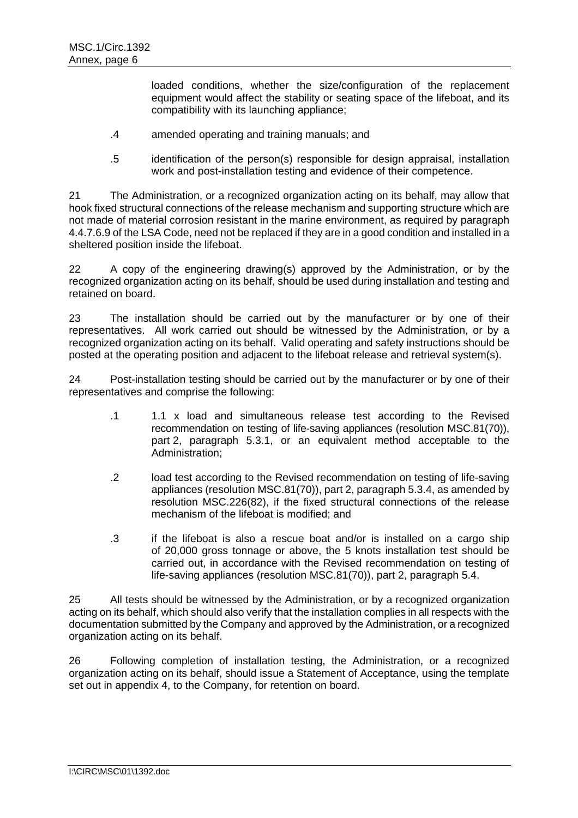loaded conditions, whether the size/configuration of the replacement equipment would affect the stability or seating space of the lifeboat, and its compatibility with its launching appliance;

- .4 amended operating and training manuals; and
- .5 identification of the person(s) responsible for design appraisal, installation work and post-installation testing and evidence of their competence.

21 The Administration, or a recognized organization acting on its behalf, may allow that hook fixed structural connections of the release mechanism and supporting structure which are not made of material corrosion resistant in the marine environment, as required by paragraph 4.4.7.6.9 of the LSA Code, need not be replaced if they are in a good condition and installed in a sheltered position inside the lifeboat.

22 A copy of the engineering drawing(s) approved by the Administration, or by the recognized organization acting on its behalf, should be used during installation and testing and retained on board.

23 The installation should be carried out by the manufacturer or by one of their representatives. All work carried out should be witnessed by the Administration, or by a recognized organization acting on its behalf. Valid operating and safety instructions should be posted at the operating position and adjacent to the lifeboat release and retrieval system(s).

24 Post-installation testing should be carried out by the manufacturer or by one of their representatives and comprise the following:

- .1 1.1 x load and simultaneous release test according to the Revised recommendation on testing of life-saving appliances (resolution MSC.81(70)), part 2, paragraph 5.3.1, or an equivalent method acceptable to the Administration;
- .2 load test according to the Revised recommendation on testing of life-saving appliances (resolution MSC.81(70)), part 2, paragraph 5.3.4, as amended by resolution MSC.226(82), if the fixed structural connections of the release mechanism of the lifeboat is modified; and
- .3 if the lifeboat is also a rescue boat and/or is installed on a cargo ship of 20,000 gross tonnage or above, the 5 knots installation test should be carried out, in accordance with the Revised recommendation on testing of life-saving appliances (resolution MSC.81(70)), part 2, paragraph 5.4.

25 All tests should be witnessed by the Administration, or by a recognized organization acting on its behalf, which should also verify that the installation complies in all respects with the documentation submitted by the Company and approved by the Administration, or a recognized organization acting on its behalf.

26 Following completion of installation testing, the Administration, or a recognized organization acting on its behalf, should issue a Statement of Acceptance, using the template set out in appendix 4, to the Company, for retention on board.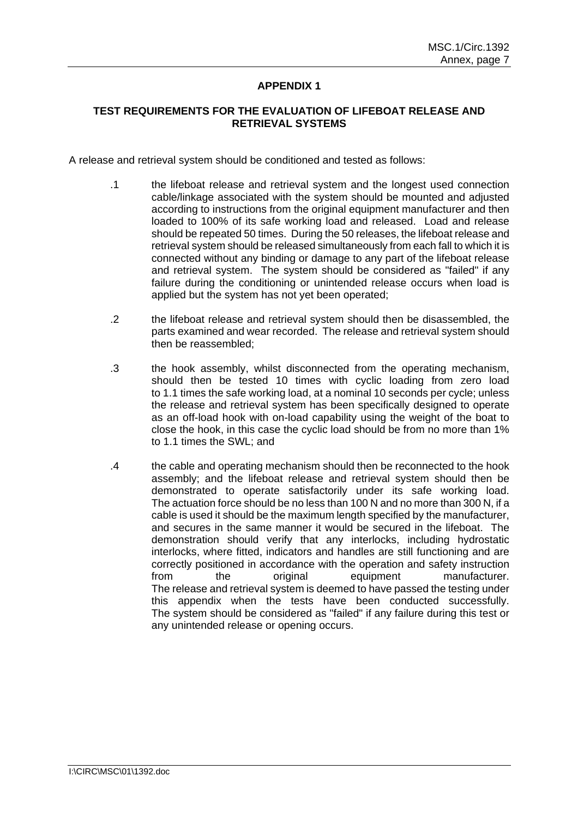### **TEST REQUIREMENTS FOR THE EVALUATION OF LIFEBOAT RELEASE AND RETRIEVAL SYSTEMS**

A release and retrieval system should be conditioned and tested as follows:

- .1 the lifeboat release and retrieval system and the longest used connection cable/linkage associated with the system should be mounted and adjusted according to instructions from the original equipment manufacturer and then loaded to 100% of its safe working load and released. Load and release should be repeated 50 times. During the 50 releases, the lifeboat release and retrieval system should be released simultaneously from each fall to which it is connected without any binding or damage to any part of the lifeboat release and retrieval system. The system should be considered as "failed" if any failure during the conditioning or unintended release occurs when load is applied but the system has not yet been operated;
- .2 the lifeboat release and retrieval system should then be disassembled, the parts examined and wear recorded. The release and retrieval system should then be reassembled;
- .3 the hook assembly, whilst disconnected from the operating mechanism, should then be tested 10 times with cyclic loading from zero load to 1.1 times the safe working load, at a nominal 10 seconds per cycle; unless the release and retrieval system has been specifically designed to operate as an off-load hook with on-load capability using the weight of the boat to close the hook, in this case the cyclic load should be from no more than 1% to 1.1 times the SWL; and
- .4 the cable and operating mechanism should then be reconnected to the hook assembly; and the lifeboat release and retrieval system should then be demonstrated to operate satisfactorily under its safe working load. The actuation force should be no less than 100 N and no more than 300 N, if a cable is used it should be the maximum length specified by the manufacturer, and secures in the same manner it would be secured in the lifeboat. The demonstration should verify that any interlocks, including hydrostatic interlocks, where fitted, indicators and handles are still functioning and are correctly positioned in accordance with the operation and safety instruction from the original equipment manufacturer. The release and retrieval system is deemed to have passed the testing under this appendix when the tests have been conducted successfully. The system should be considered as "failed" if any failure during this test or any unintended release or opening occurs.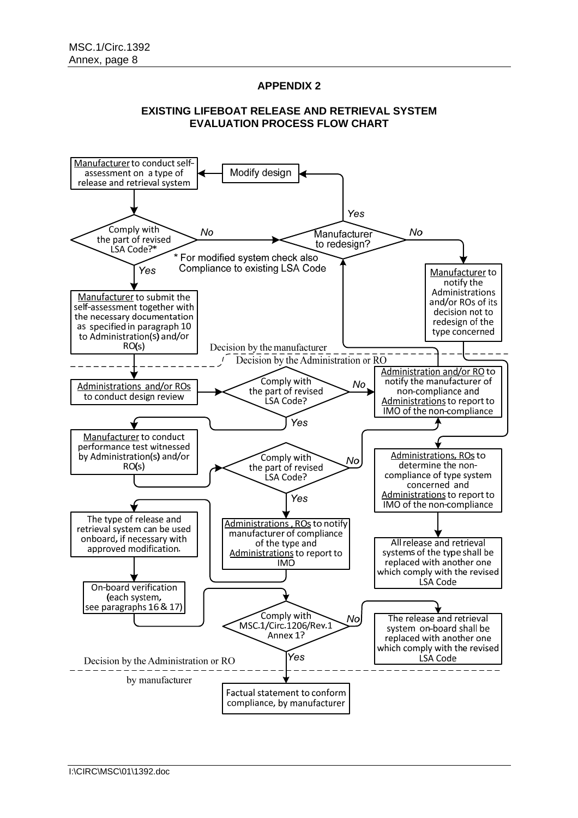### **EXISTING LIFEBOAT RELEASE AND RETRIEVAL SYSTEM EVALUATION PROCESS FLOW CHART**

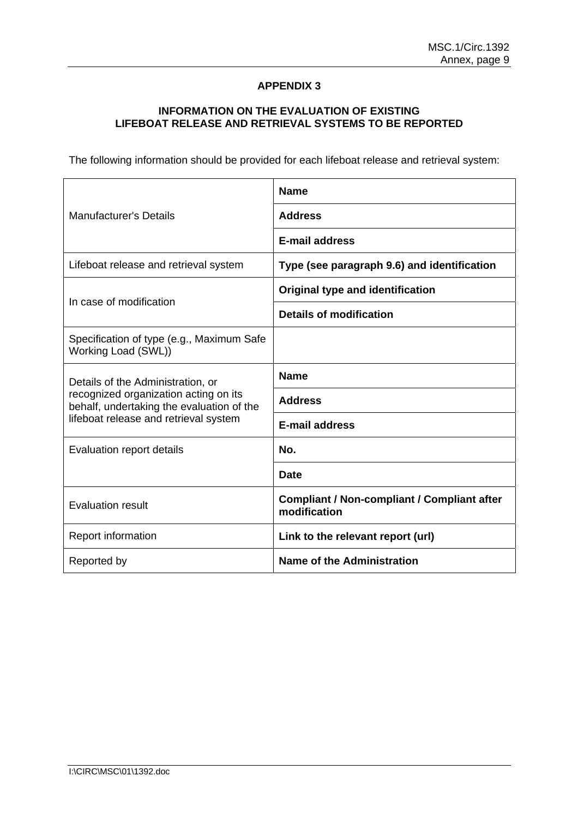# **INFORMATION ON THE EVALUATION OF EXISTING LIFEBOAT RELEASE AND RETRIEVAL SYSTEMS TO BE REPORTED**

The following information should be provided for each lifeboat release and retrieval system:

|                                                                                                                                                                  | <b>Name</b>                                                        |  |
|------------------------------------------------------------------------------------------------------------------------------------------------------------------|--------------------------------------------------------------------|--|
| <b>Manufacturer's Details</b>                                                                                                                                    | <b>Address</b>                                                     |  |
|                                                                                                                                                                  | <b>E-mail address</b>                                              |  |
| Lifeboat release and retrieval system                                                                                                                            | Type (see paragraph 9.6) and identification                        |  |
|                                                                                                                                                                  | <b>Original type and identification</b>                            |  |
| In case of modification                                                                                                                                          | Details of modification                                            |  |
| Specification of type (e.g., Maximum Safe<br>Working Load (SWL))                                                                                                 |                                                                    |  |
| Details of the Administration, or<br>recognized organization acting on its<br>behalf, undertaking the evaluation of the<br>lifeboat release and retrieval system | <b>Name</b>                                                        |  |
|                                                                                                                                                                  | <b>Address</b>                                                     |  |
|                                                                                                                                                                  | <b>E-mail address</b>                                              |  |
| Evaluation report details                                                                                                                                        | No.                                                                |  |
|                                                                                                                                                                  | <b>Date</b>                                                        |  |
| <b>Evaluation result</b>                                                                                                                                         | <b>Compliant / Non-compliant / Compliant after</b><br>modification |  |
| Report information                                                                                                                                               | Link to the relevant report (url)                                  |  |
| Reported by                                                                                                                                                      | Name of the Administration                                         |  |